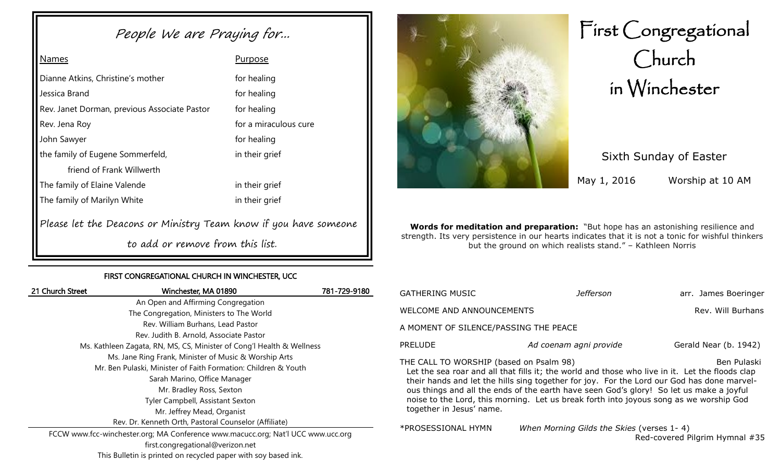# People We are Praying for...

# Names **Purpose**

| Dianne Atkins, Christine's mother                                | for healing           |  |  |  |  |
|------------------------------------------------------------------|-----------------------|--|--|--|--|
| Jessica Brand                                                    | for healing           |  |  |  |  |
| Rev. Janet Dorman, previous Associate Pastor                     | for healing           |  |  |  |  |
| Rev. Jena Roy                                                    | for a miraculous cure |  |  |  |  |
| John Sawyer                                                      | for healing           |  |  |  |  |
| the family of Eugene Sommerfeld,                                 | in their grief        |  |  |  |  |
| friend of Frank Willwerth                                        |                       |  |  |  |  |
| The family of Elaine Valende                                     | in their grief        |  |  |  |  |
| The family of Marilyn White<br>in their grief                    |                       |  |  |  |  |
| Please let the Deacons or Ministry Team know if you have someone |                       |  |  |  |  |
| to add or remove from this list.                                 |                       |  |  |  |  |

#### FIRST CONGREGATIONAL CHURCH IN WINCHESTER, UCC

| 21 Church Street                                                      | Winchester, MA 01890                                                             | 781-729-9180 |  |  |
|-----------------------------------------------------------------------|----------------------------------------------------------------------------------|--------------|--|--|
|                                                                       | An Open and Affirming Congregation                                               |              |  |  |
|                                                                       | The Congregation, Ministers to The World                                         |              |  |  |
|                                                                       | Rev. William Burhans, Lead Pastor                                                |              |  |  |
| Rev. Judith B. Arnold, Associate Pastor                               |                                                                                  |              |  |  |
| Ms. Kathleen Zagata, RN, MS, CS, Minister of Cong'l Health & Wellness |                                                                                  |              |  |  |
|                                                                       | Ms. Jane Ring Frank, Minister of Music & Worship Arts                            |              |  |  |
| Mr. Ben Pulaski, Minister of Faith Formation: Children & Youth        |                                                                                  |              |  |  |
| Sarah Marino, Office Manager                                          |                                                                                  |              |  |  |
| Mr. Bradley Ross, Sexton                                              |                                                                                  |              |  |  |
| Tyler Campbell, Assistant Sexton                                      |                                                                                  |              |  |  |
| Mr. Jeffrey Mead, Organist                                            |                                                                                  |              |  |  |
|                                                                       | Rev. Dr. Kenneth Orth, Pastoral Counselor (Affiliate)                            |              |  |  |
|                                                                       | FCCW www.fcc-winchester.org; MA Conference www.macucc.org; Nat'l UCC www.ucc.org |              |  |  |
| first.congregational@verizon.net                                      |                                                                                  |              |  |  |



# First Congregational Church in Winchester

Sixth Sunday of Easter

May 1, 2016 Worship at 10 AM

**Words for meditation and preparation:** "But hope has an astonishing resilience and strength. Its very persistence in our hearts indicates that it is not a tonic for wishful thinkers but the ground on which realists stand." – Kathleen Norris

| GATHERING MUSIC                                                                                                                                                                                                                                                                                                                                                                                                                                                          | Jefferson                                 | arr. James Boeringer           |  |  |  |
|--------------------------------------------------------------------------------------------------------------------------------------------------------------------------------------------------------------------------------------------------------------------------------------------------------------------------------------------------------------------------------------------------------------------------------------------------------------------------|-------------------------------------------|--------------------------------|--|--|--|
| WELCOME AND ANNOUNCEMENTS                                                                                                                                                                                                                                                                                                                                                                                                                                                |                                           | Rev. Will Burhans              |  |  |  |
| A MOMENT OF SILENCE/PASSING THE PEACE                                                                                                                                                                                                                                                                                                                                                                                                                                    |                                           |                                |  |  |  |
| <b>PRELUDE</b>                                                                                                                                                                                                                                                                                                                                                                                                                                                           | Ad coenam agni provide                    | Gerald Near (b. 1942)          |  |  |  |
| THE CALL TO WORSHIP (based on Psalm 98)<br>Ben Pulaski<br>Let the sea roar and all that fills it; the world and those who live in it. Let the floods clap<br>their hands and let the hills sing together for joy. For the Lord our God has done marvel-<br>ous things and all the ends of the earth have seen God's glory! So let us make a joyful<br>noise to the Lord, this morning. Let us break forth into joyous song as we worship God<br>together in Jesus' name. |                                           |                                |  |  |  |
| *PROSESSIONAL HYMN                                                                                                                                                                                                                                                                                                                                                                                                                                                       | When Morning Gilds the Skies (verses 1-4) | Red-covered Pilgrim Hymnal #35 |  |  |  |

This Bulletin is printed on recycled paper with soy based ink.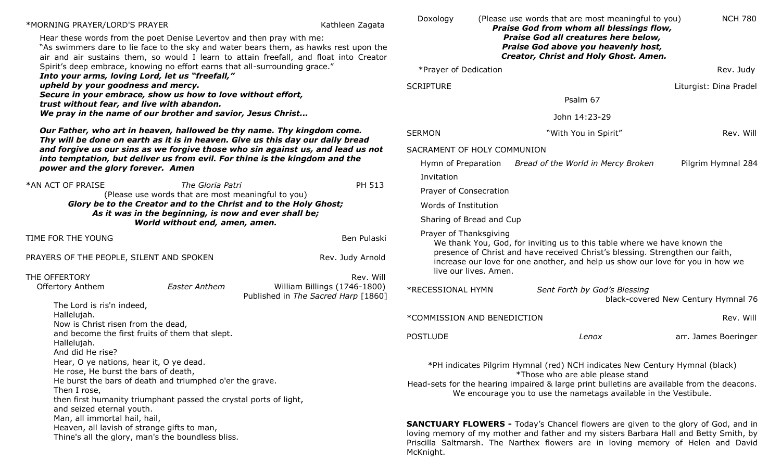| *MORNING PRAYER/LORD'S PRAYER                                                                                                                                                                                                                                                                                   |                                                                        |                                                                                                                                                                | Kathleen Zagata              | Doxology                                                                                                                                                                                                                                                              |                        | (Please use words that are most meaningful to you)<br>Praise God from whom all blessings flow,                                                                  | <b>NCH 780</b>                      |
|-----------------------------------------------------------------------------------------------------------------------------------------------------------------------------------------------------------------------------------------------------------------------------------------------------------------|------------------------------------------------------------------------|----------------------------------------------------------------------------------------------------------------------------------------------------------------|------------------------------|-----------------------------------------------------------------------------------------------------------------------------------------------------------------------------------------------------------------------------------------------------------------------|------------------------|-----------------------------------------------------------------------------------------------------------------------------------------------------------------|-------------------------------------|
| Hear these words from the poet Denise Levertov and then pray with me:<br>"As swimmers dare to lie face to the sky and water bears them, as hawks rest upon the<br>air and air sustains them, so would I learn to attain freefall, and float into Creator                                                        |                                                                        |                                                                                                                                                                |                              | Praise God all creatures here below,<br>Praise God above you heavenly host,<br>Creator, Christ and Holy Ghost. Amen.                                                                                                                                                  |                        |                                                                                                                                                                 |                                     |
| Spirit's deep embrace, knowing no effort earns that all-surrounding grace."                                                                                                                                                                                                                                     |                                                                        |                                                                                                                                                                | *Prayer of Dedication        |                                                                                                                                                                                                                                                                       |                        | Rev. Judy                                                                                                                                                       |                                     |
| Into your arms, loving Lord, let us "freefall,"<br>upheld by your goodness and mercy.                                                                                                                                                                                                                           |                                                                        | <b>SCRIPTURE</b>                                                                                                                                               |                              |                                                                                                                                                                                                                                                                       | Liturgist: Dina Pradel |                                                                                                                                                                 |                                     |
| Secure in your embrace, show us how to love without effort,                                                                                                                                                                                                                                                     |                                                                        |                                                                                                                                                                |                              |                                                                                                                                                                                                                                                                       |                        | Psalm 67                                                                                                                                                        |                                     |
| trust without fear, and live with abandon.<br>We pray in the name of our brother and savior, Jesus Christ                                                                                                                                                                                                       |                                                                        |                                                                                                                                                                |                              |                                                                                                                                                                                                                                                                       | John 14:23-29          |                                                                                                                                                                 |                                     |
| Our Father, who art in heaven, hallowed be thy name. Thy kingdom come.<br>Thy will be done on earth as it is in heaven. Give us this day our daily bread                                                                                                                                                        |                                                                        | <b>SERMON</b>                                                                                                                                                  |                              | "With You in Spirit"                                                                                                                                                                                                                                                  | Rev. Will              |                                                                                                                                                                 |                                     |
| and forgive us our sins as we forgive those who sin against us, and lead us not                                                                                                                                                                                                                                 |                                                                        |                                                                                                                                                                |                              | SACRAMENT OF HOLY COMMUNION                                                                                                                                                                                                                                           |                        |                                                                                                                                                                 |                                     |
| into temptation, but deliver us from evil. For thine is the kingdom and the<br>power and the glory forever. Amen                                                                                                                                                                                                |                                                                        |                                                                                                                                                                |                              | Hymn of Preparation                                                                                                                                                                                                                                                   |                        | Bread of the World in Mercy Broken                                                                                                                              | Pilgrim Hymnal 284                  |
|                                                                                                                                                                                                                                                                                                                 |                                                                        |                                                                                                                                                                |                              | Invitation                                                                                                                                                                                                                                                            |                        |                                                                                                                                                                 |                                     |
| *AN ACT OF PRAISE                                                                                                                                                                                                                                                                                               | The Gloria Patri<br>(Please use words that are most meaningful to you) |                                                                                                                                                                | PH 513                       | Prayer of Consecration                                                                                                                                                                                                                                                |                        |                                                                                                                                                                 |                                     |
| Glory be to the Creator and to the Christ and to the Holy Ghost;<br>As it was in the beginning, is now and ever shall be;<br>World without end, amen, amen.                                                                                                                                                     |                                                                        |                                                                                                                                                                | Words of Institution         |                                                                                                                                                                                                                                                                       |                        |                                                                                                                                                                 |                                     |
|                                                                                                                                                                                                                                                                                                                 |                                                                        |                                                                                                                                                                | Sharing of Bread and Cup     |                                                                                                                                                                                                                                                                       |                        |                                                                                                                                                                 |                                     |
| TIME FOR THE YOUNG                                                                                                                                                                                                                                                                                              |                                                                        |                                                                                                                                                                | Ben Pulaski                  | Prayer of Thanksgiving                                                                                                                                                                                                                                                |                        | We thank You, God, for inviting us to this table where we have known the                                                                                        |                                     |
| PRAYERS OF THE PEOPLE, SILENT AND SPOKEN                                                                                                                                                                                                                                                                        |                                                                        |                                                                                                                                                                | Rev. Judy Arnold             |                                                                                                                                                                                                                                                                       | live our lives. Amen.  | presence of Christ and have received Christ's blessing. Strengthen our faith,<br>increase our love for one another, and help us show our love for you in how we |                                     |
| THE OFFERTORY                                                                                                                                                                                                                                                                                                   |                                                                        |                                                                                                                                                                | Rev. Will                    |                                                                                                                                                                                                                                                                       |                        |                                                                                                                                                                 |                                     |
| <b>Offertory Anthem</b>                                                                                                                                                                                                                                                                                         | <b>Easter Anthem</b>                                                   | Published in The Sacred Harp [1860]                                                                                                                            | William Billings (1746-1800) | *RECESSIONAL HYMN                                                                                                                                                                                                                                                     |                        | Sent Forth by God's Blessing                                                                                                                                    | black-covered New Century Hymnal 76 |
| The Lord is ris'n indeed,<br>Hallelujah.                                                                                                                                                                                                                                                                        |                                                                        |                                                                                                                                                                |                              | *COMMISSION AND BENEDICTION                                                                                                                                                                                                                                           |                        |                                                                                                                                                                 | Rev. Will                           |
| Now is Christ risen from the dead,<br>and become the first fruits of them that slept.<br>Hallelujah.                                                                                                                                                                                                            |                                                                        |                                                                                                                                                                |                              | <b>POSTLUDE</b>                                                                                                                                                                                                                                                       |                        | Lenox                                                                                                                                                           | arr. James Boeringer                |
| And did He rise?<br>Hear, O ye nations, hear it, O ye dead.<br>He rose, He burst the bars of death,                                                                                                                                                                                                             |                                                                        |                                                                                                                                                                |                              |                                                                                                                                                                                                                                                                       |                        | *PH indicates Pilgrim Hymnal (red) NCH indicates New Century Hymnal (black)<br>*Those who are able please stand                                                 |                                     |
| He burst the bars of death and triumphed o'er the grave.<br>Then I rose,<br>then first humanity triumphant passed the crystal ports of light,<br>and seized eternal youth.<br>Man, all immortal hail, hail,<br>Heaven, all lavish of strange gifts to man,<br>Thine's all the glory, man's the boundless bliss. |                                                                        | Head-sets for the hearing impaired & large print bulletins are available from the deacons.<br>We encourage you to use the nametags available in the Vestibule. |                              |                                                                                                                                                                                                                                                                       |                        |                                                                                                                                                                 |                                     |
|                                                                                                                                                                                                                                                                                                                 |                                                                        | McKnight.                                                                                                                                                      |                              | <b>SANCTUARY FLOWERS -</b> Today's Chancel flowers are given to the glory of God, and in<br>loving memory of my mother and father and my sisters Barbara Hall and Betty Smith, by<br>Priscilla Saltmarsh. The Narthex flowers are in loving memory of Helen and David |                        |                                                                                                                                                                 |                                     |